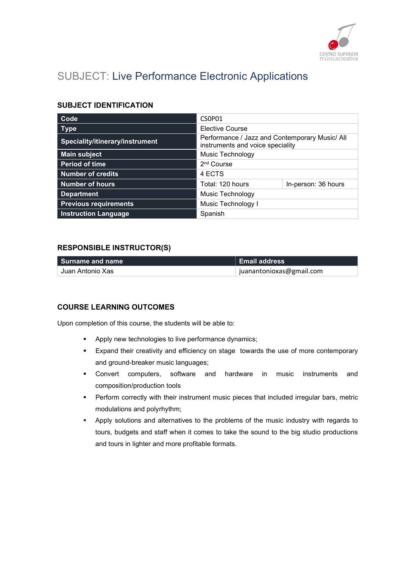

# SUBJECT: Live Performance Electronic Applications

### SUBJECT IDENTIFICATION

| Code                            | CSOP01                                                                             |                     |
|---------------------------------|------------------------------------------------------------------------------------|---------------------|
| <b>Type</b>                     | <b>Elective Course</b>                                                             |                     |
| Speciality/itinerary/instrument | Performance / Jazz and Contemporary Music/ All<br>instruments and voice speciality |                     |
| <b>Main subject</b>             | <b>Music Technology</b>                                                            |                     |
| <b>Period of time</b>           | 2 <sup>nd</sup> Course                                                             |                     |
| <b>Number of credits</b>        | 4 ECTS                                                                             |                     |
| <b>Number of hours</b>          | Total: 120 hours                                                                   | In-person: 36 hours |
| <b>Department</b>               | Music Technology                                                                   |                     |
| <b>Previous requirements</b>    | Music Technology I                                                                 |                     |
| <b>Instruction Language</b>     | Spanish                                                                            |                     |

#### RESPONSIBLE INSTRUCTOR(S)

| l Surname and name | Email address            |
|--------------------|--------------------------|
| Juan Antonio Xas   | juanantonioxas@gmail.com |

#### COURSE LEARNING OUTCOMES

Upon completion of this course, the students will be able to:

- **Apply new technologies to live performance dynamics;**
- Expand their creativity and efficiency on stage towards the use of more contemporary and ground-breaker music languages;
- Convert computers, software and hardware in music instruments and composition/production tools
- **Perform correctly with their instrument music pieces that included irregular bars, metric** modulations and polyrhythm;
- Apply solutions and alternatives to the problems of the music industry with regards to tours, budgets and staff when it comes to take the sound to the big studio productions and tours in lighter and more profitable formats.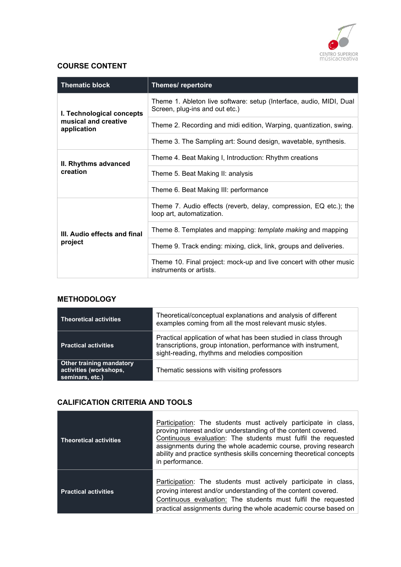

## COURSE CONTENT

| <b>Thematic block</b>                                            | Themes/repertoire                                                                                     |
|------------------------------------------------------------------|-------------------------------------------------------------------------------------------------------|
| I. Technological concepts<br>musical and creative<br>application | Theme 1. Ableton live software: setup (Interface, audio, MIDI, Dual<br>Screen, plug-ins and out etc.) |
|                                                                  | Theme 2. Recording and midi edition, Warping, quantization, swing.                                    |
|                                                                  | Theme 3. The Sampling art: Sound design, wavetable, synthesis.                                        |
| II. Rhythms advanced<br>creation                                 | Theme 4. Beat Making I, Introduction: Rhythm creations                                                |
|                                                                  | Theme 5. Beat Making II: analysis                                                                     |
|                                                                  | Theme 6. Beat Making III: performance                                                                 |
| III. Audio effects and final<br>project                          | Theme 7. Audio effects (reverb, delay, compression, EQ etc.); the<br>loop art, automatization.        |
|                                                                  | Theme 8. Templates and mapping: template making and mapping                                           |
|                                                                  | Theme 9. Track ending: mixing, click, link, groups and deliveries.                                    |
|                                                                  | Theme 10. Final project: mock-up and live concert with other music<br>instruments or artists.         |

## **METHODOLOGY**

<u> 1989 - Johann Barnett, mars et al.</u>

| Theoretical activities                                                       | Theoretical/conceptual explanations and analysis of different<br>examples coming from all the most relevant music styles.                                                            |
|------------------------------------------------------------------------------|--------------------------------------------------------------------------------------------------------------------------------------------------------------------------------------|
| <b>Practical activities</b>                                                  | Practical application of what has been studied in class through<br>transcriptions, group intonation, performance with instrument,<br>sight-reading, rhythms and melodies composition |
| <b>Other training mandatory</b><br>activities (workshops,<br>seminars, etc.) | Thematic sessions with visiting professors                                                                                                                                           |

## CALIFICATION CRITERIA AND TOOLS

<u> The Common Service Common Service Common Service Common Service Common Service Common Service Common Service Common Service Common Service Common Service Common Service Common Service Common Service Common Service Common</u>

| <b>Theoretical activities</b> | Participation: The students must actively participate in class,<br>proving interest and/or understanding of the content covered.<br>Continuous evaluation: The students must fulfil the requested<br>assignments during the whole academic course, proving research<br>ability and practice synthesis skills concerning theoretical concepts<br>in performance. |
|-------------------------------|-----------------------------------------------------------------------------------------------------------------------------------------------------------------------------------------------------------------------------------------------------------------------------------------------------------------------------------------------------------------|
| <b>Practical activities</b>   | Participation: The students must actively participate in class,<br>proving interest and/or understanding of the content covered.<br>Continuous evaluation: The students must fulfil the requested<br>practical assignments during the whole academic course based on                                                                                            |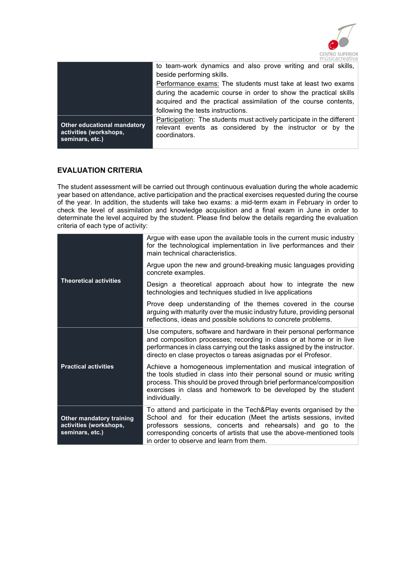

|                                                                                 | to team-work dynamics and also prove writing and oral skills,<br>beside performing skills.                                                           |  |  |
|---------------------------------------------------------------------------------|------------------------------------------------------------------------------------------------------------------------------------------------------|--|--|
|                                                                                 |                                                                                                                                                      |  |  |
|                                                                                 | Performance exams: The students must take at least two exams                                                                                         |  |  |
|                                                                                 | during the academic course in order to show the practical skills<br>acquired and the practical assimilation of the course contents,                  |  |  |
|                                                                                 | following the tests instructions.                                                                                                                    |  |  |
| <b>Other educational mandatory</b><br>activities (workshops,<br>seminars, etc.) | Participation: The students must actively participate in the different<br>relevant events as considered by the instructor or by the<br>coordinators. |  |  |

#### EVALUATION CRITERIA

The student assessment will be carried out through continuous evaluation during the whole academic year based on attendance, active participation and the practical exercises requested during the course of the year. In addition, the students will take two exams: a mid-term exam in February in order to check the level of assimilation and knowledge acquisition and a final exam in June in order to determinate the level acquired by the student. Please find below the details regarding the evaluation criteria of each type of activity:

| <b>Theoretical activities</b>                                                | Argue with ease upon the available tools in the current music industry<br>for the technological implementation in live performances and their<br>main technical characteristics.                                                                                                                                            |
|------------------------------------------------------------------------------|-----------------------------------------------------------------------------------------------------------------------------------------------------------------------------------------------------------------------------------------------------------------------------------------------------------------------------|
|                                                                              | Argue upon the new and ground-breaking music languages providing<br>concrete examples.                                                                                                                                                                                                                                      |
|                                                                              | Design a theoretical approach about how to integrate the new<br>technologies and techniques studied in live applications                                                                                                                                                                                                    |
|                                                                              | Prove deep understanding of the themes covered in the course<br>arguing with maturity over the music industry future, providing personal<br>reflections, ideas and possible solutions to concrete problems.                                                                                                                 |
|                                                                              | Use computers, software and hardware in their personal performance<br>and composition processes; recording in class or at home or in live<br>performances in class carrying out the tasks assigned by the instructor.<br>directo en clase proyectos o tareas asignadas por el Profesor.                                     |
| <b>Practical activities</b>                                                  | Achieve a homogeneous implementation and musical integration of<br>the tools studied in class into their personal sound or music writing<br>process. This should be proved through brief performance/composition<br>exercises in class and homework to be developed by the student<br>individually.                         |
| <b>Other mandatory training</b><br>activities (workshops,<br>seminars, etc.) | To attend and participate in the Tech&Play events organised by the<br>School and for their education (Meet the artists sessions, invited<br>professors sessions, concerts and rehearsals) and go to the<br>corresponding concerts of artists that use the above-mentioned tools<br>in order to observe and learn from them. |